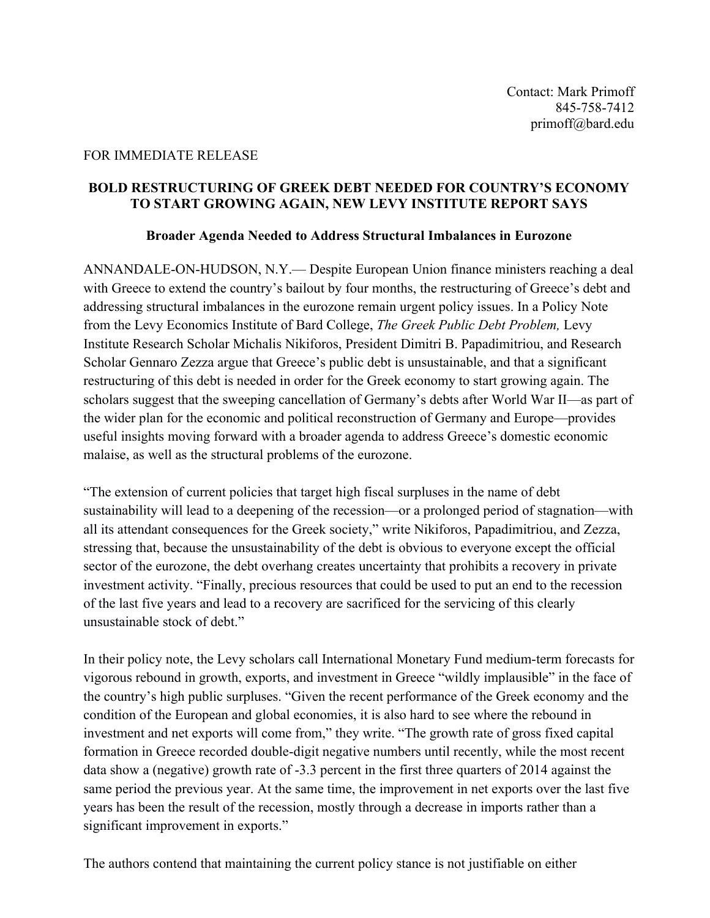## FOR IMMEDIATE RELEASE

## **BOLD RESTRUCTURING OF GREEK DEBT NEEDED FOR COUNTRY'S ECONOMY TO START GROWING AGAIN, NEW LEVY INSTITUTE REPORT SAYS**

## **Broader Agenda Needed to Address Structural Imbalances in Eurozone**

ANNANDALE-ON-HUDSON, N.Y.— Despite European Union finance ministers reaching a deal with Greece to extend the country's bailout by four months, the restructuring of Greece's debt and addressing structural imbalances in the eurozone remain urgent policy issues. In a Policy Note from the Levy Economics Institute of Bard College, *The Greek Public Debt Problem,* Levy Institute Research Scholar Michalis Nikiforos, President Dimitri B. Papadimitriou, and Research Scholar Gennaro Zezza argue that Greece's public debt is unsustainable, and that a significant restructuring of this debt is needed in order for the Greek economy to start growing again. The scholars suggest that the sweeping cancellation of Germany's debts after World War II—as part of the wider plan for the economic and political reconstruction of Germany and Europe—provides useful insights moving forward with a broader agenda to address Greece's domestic economic malaise, as well as the structural problems of the eurozone.

"The extension of current policies that target high fiscal surpluses in the name of debt sustainability will lead to a deepening of the recession—or a prolonged period of stagnation—with all its attendant consequences for the Greek society," write Nikiforos, Papadimitriou, and Zezza, stressing that, because the unsustainability of the debt is obvious to everyone except the official sector of the eurozone, the debt overhang creates uncertainty that prohibits a recovery in private investment activity. "Finally, precious resources that could be used to put an end to the recession of the last five years and lead to a recovery are sacrificed for the servicing of this clearly unsustainable stock of debt."

In their policy note, the Levy scholars call International Monetary Fund medium-term forecasts for vigorous rebound in growth, exports, and investment in Greece "wildly implausible" in the face of the country's high public surpluses. "Given the recent performance of the Greek economy and the condition of the European and global economies, it is also hard to see where the rebound in investment and net exports will come from," they write. "The growth rate of gross fixed capital formation in Greece recorded double-digit negative numbers until recently, while the most recent data show a (negative) growth rate of -3.3 percent in the first three quarters of 2014 against the same period the previous year. At the same time, the improvement in net exports over the last five years has been the result of the recession, mostly through a decrease in imports rather than a significant improvement in exports."

The authors contend that maintaining the current policy stance is not justifiable on either